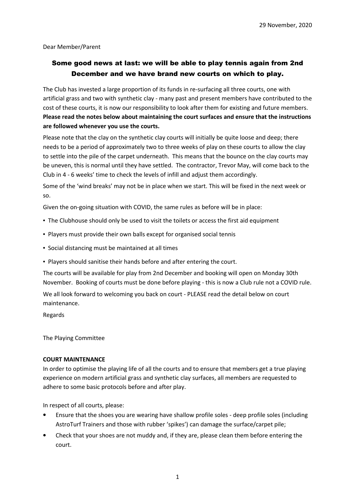Dear Member/Parent

## Some good news at last: we will be able to play tennis again from 2nd December and we have brand new courts on which to play.

The Club has invested a large proportion of its funds in re-surfacing all three courts, one with artificial grass and two with synthetic clay - many past and present members have contributed to the cost of these courts, it is now our responsibility to look after them for existing and future members. **Please read the notes below about maintaining the court surfaces and ensure that the instructions are followed whenever you use the courts.**

Please note that the clay on the synthetic clay courts will initially be quite loose and deep; there needs to be a period of approximately two to three weeks of play on these courts to allow the clay to settle into the pile of the carpet underneath. This means that the bounce on the clay courts may be uneven, this is normal until they have settled. The contractor, Trevor May, will come back to the Club in 4 - 6 weeks' time to check the levels of infill and adjust them accordingly.

Some of the 'wind breaks' may not be in place when we start. This will be fixed in the next week or so.

Given the on-going situation with COVID, the same rules as before will be in place:

- The Clubhouse should only be used to visit the toilets or access the first aid equipment
- Players must provide their own balls except for organised social tennis
- Social distancing must be maintained at all times
- Players should sanitise their hands before and after entering the court.

The courts will be available for play from 2nd December and booking will open on Monday 30th November. Booking of courts must be done before playing - this is now a Club rule not a COVID rule.

We all look forward to welcoming you back on court - PLEASE read the detail below on court maintenance.

Regards

The Playing Committee

## **COURT MAINTENANCE**

In order to optimise the playing life of all the courts and to ensure that members get a true playing experience on modern artificial grass and synthetic clay surfaces, all members are requested to adhere to some basic protocols before and after play.

In respect of all courts, please:

- Ensure that the shoes you are wearing have shallow profile soles deep profile soles (including AstroTurf Trainers and those with rubber 'spikes') can damage the surface/carpet pile;
- Check that your shoes are not muddy and, if they are, please clean them before entering the court.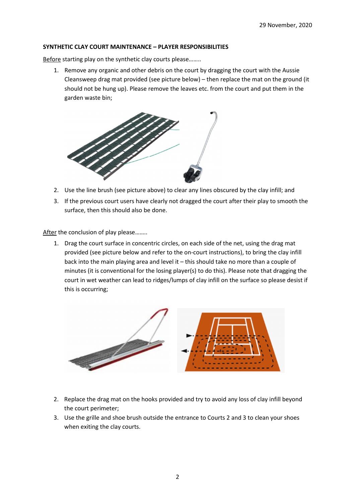## **SYNTHETIC CLAY COURT MAINTENANCE – PLAYER RESPONSIBILITIES**

Before starting play on the synthetic clay courts please……..

1. Remove any organic and other debris on the court by dragging the court with the Aussie Cleansweep drag mat provided (see picture below) – then replace the mat on the ground (it should not be hung up). Please remove the leaves etc. from the court and put them in the garden waste bin;



- 2. Use the line brush (see picture above) to clear any lines obscured by the clay infill; and
- 3. If the previous court users have clearly not dragged the court after their play to smooth the surface, then this should also be done.

After the conclusion of play please........

1. Drag the court surface in concentric circles, on each side of the net, using the drag mat provided (see picture below and refer to the on-court instructions), to bring the clay infill back into the main playing area and level it – this should take no more than a couple of minutes (it is conventional for the losing player(s) to do this). Please note that dragging the court in wet weather can lead to ridges/lumps of clay infill on the surface so please desist if this is occurring;



- 2. Replace the drag mat on the hooks provided and try to avoid any loss of clay infill beyond the court perimeter;
- 3. Use the grille and shoe brush outside the entrance to Courts 2 and 3 to clean your shoes when exiting the clay courts.